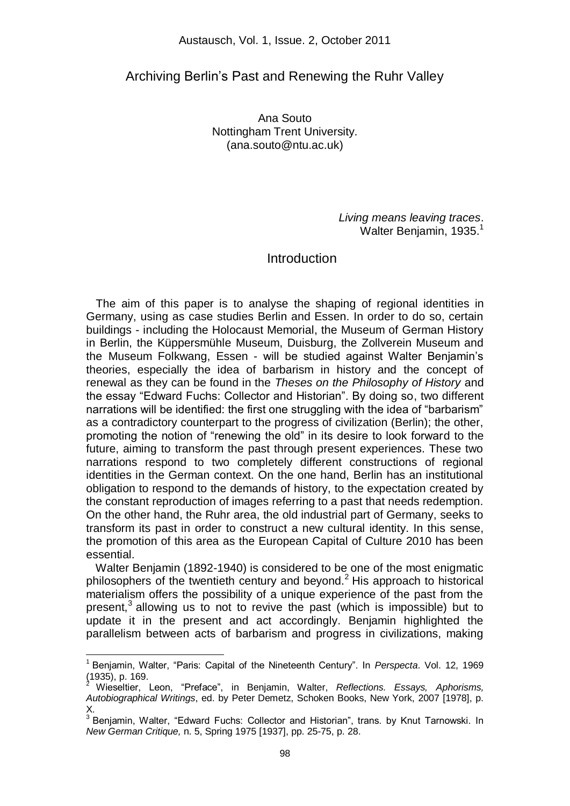### Archiving Berlin"s Past and Renewing the Ruhr Valley

Ana Souto Nottingham Trent University. (ana.souto@ntu.ac.uk)

> *Living means leaving traces*. Walter Benjamin,  $1935.<sup>1</sup>$

#### **Introduction**

 The aim of this paper is to analyse the shaping of regional identities in Germany, using as case studies Berlin and Essen. In order to do so, certain buildings - including the Holocaust Memorial, the Museum of German History in Berlin, the Küppersmühle Museum, Duisburg, the Zollverein Museum and the Museum Folkwang, Essen - will be studied against Walter Benjamin"s theories, especially the idea of barbarism in history and the concept of renewal as they can be found in the *Theses on the Philosophy of History* and the essay "Edward Fuchs: Collector and Historian". By doing so, two different narrations will be identified: the first one struggling with the idea of "barbarism" as a contradictory counterpart to the progress of civilization (Berlin); the other, promoting the notion of "renewing the old" in its desire to look forward to the future, aiming to transform the past through present experiences. These two narrations respond to two completely different constructions of regional identities in the German context. On the one hand, Berlin has an institutional obligation to respond to the demands of history, to the expectation created by the constant reproduction of images referring to a past that needs redemption. On the other hand, the Ruhr area, the old industrial part of Germany, seeks to transform its past in order to construct a new cultural identity. In this sense, the promotion of this area as the European Capital of Culture 2010 has been essential.

 Walter Benjamin (1892-1940) is considered to be one of the most enigmatic philosophers of the twentieth century and beyond.<sup>2</sup> His approach to historical materialism offers the possibility of a unique experience of the past from the present, $3$  allowing us to not to revive the past (which is impossible) but to update it in the present and act accordingly. Benjamin highlighted the parallelism between acts of barbarism and progress in civilizations, making

<sup>1</sup> Benjamin, Walter, "Paris: Capital of the Nineteenth Century". In *Perspecta*. Vol. 12, 1969  $(1935)$ , p. 169.

<sup>2</sup> Wieseltier, Leon, "Preface", in Benjamin, Walter, *Reflections. Essays, Aphorisms, Autobiographical Writings*, ed. by Peter Demetz, Schoken Books, New York, 2007 [1978], p. X.

<sup>&</sup>lt;sup>3</sup> Benjamin, Walter, "Edward Fuchs: Collector and Historian", trans. by Knut Tarnowski. In *New German Critique,* n. 5, Spring 1975 [1937], pp. 25-75, p. 28.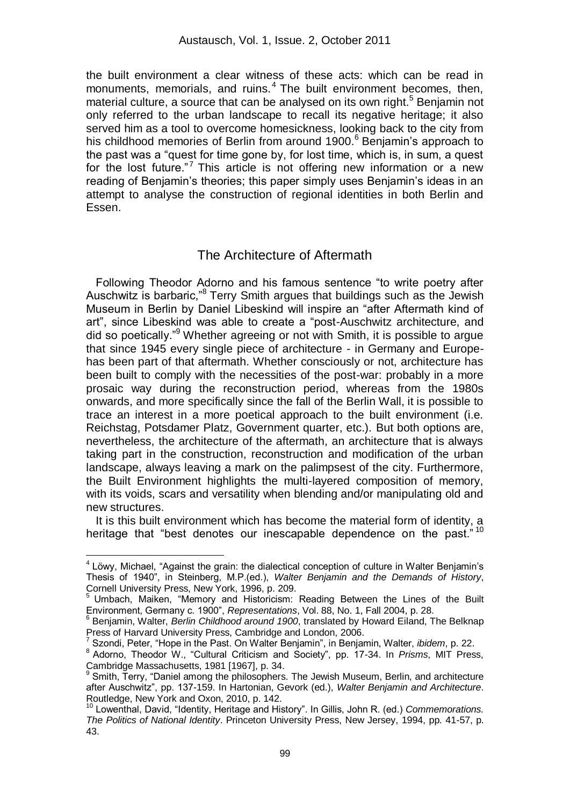the built environment a clear witness of these acts: which can be read in monuments, memorials, and ruins.<sup>4</sup> The built environment becomes, then, material culture, a source that can be analysed on its own right.<sup>5</sup> Benjamin not only referred to the urban landscape to recall its negative heritage; it also served him as a tool to overcome homesickness, looking back to the city from his childhood memories of Berlin from around 1900.<sup>6</sup> Benjamin's approach to the past was a "quest for time gone by, for lost time, which is, in sum, a quest for the lost future."<sup>7</sup> This article is not offering new information or a new reading of Benjamin"s theories; this paper simply uses Benjamin"s ideas in an attempt to analyse the construction of regional identities in both Berlin and Essen.

## The Architecture of Aftermath

 Following Theodor Adorno and his famous sentence "to write poetry after Auschwitz is barbaric,<sup>®</sup> Terry Smith argues that buildings such as the Jewish Museum in Berlin by Daniel Libeskind will inspire an "after Aftermath kind of art", since Libeskind was able to create a "post-Auschwitz architecture, and did so poetically."<sup>9</sup> Whether agreeing or not with Smith, it is possible to argue that since 1945 every single piece of architecture - in Germany and Europehas been part of that aftermath. Whether consciously or not, architecture has been built to comply with the necessities of the post-war: probably in a more prosaic way during the reconstruction period, whereas from the 1980s onwards, and more specifically since the fall of the Berlin Wall, it is possible to trace an interest in a more poetical approach to the built environment (i.e. Reichstag, Potsdamer Platz, Government quarter, etc.). But both options are, nevertheless, the architecture of the aftermath, an architecture that is always taking part in the construction, reconstruction and modification of the urban landscape, always leaving a mark on the palimpsest of the city. Furthermore, the Built Environment highlights the multi-layered composition of memory, with its voids, scars and versatility when blending and/or manipulating old and new structures.

 It is this built environment which has become the material form of identity, a heritage that "best denotes our inescapable dependence on the past."<sup>10</sup>

<sup>&</sup>lt;sup>4</sup> Löwy, Michael, "Against the grain: the dialectical conception of culture in Walter Benjamin's Thesis of 1940", in Steinberg, M.P.(ed.), *Walter Benjamin and the Demands of History*, Cornell University Press, New York, 1996, p. 209.

<sup>5</sup> Umbach, Maiken, "Memory and Historicism: Reading Between the Lines of the Built Environment, Germany c. 1900", *Representations*, Vol. 88, No. 1, Fall 2004, p. 28.

<sup>6</sup> Benjamin, Walter, *Berlin Childhood around 1900*, translated by Howard Eiland, The Belknap Press of Harvard University Press, Cambridge and London, 2006.

<sup>7</sup> Szondi, Peter, "Hope in the Past. On Walter Benjamin", in Benjamin, Walter, *ibidem*, p. 22.

<sup>8</sup> Adorno, Theodor W., "Cultural Criticism and Society", pp. 17-34. In *Prisms*, MIT Press, Cambridge Massachusetts, 1981 [1967], p. 34. 9

Smith, Terry, "Daniel among the philosophers. The Jewish Museum, Berlin, and architecture after Auschwitz", pp. 137-159. In Hartonian, Gevork (ed.), *Walter Benjamin and Architecture*. Routledge, New York and Oxon, 2010, p. 142.

<sup>10</sup> Lowenthal, David, "Identity, Heritage and History". In Gillis, John R. (ed.) *Commemorations. The Politics of National Identity*. Princeton University Press, New Jersey, 1994, pp. 41-57, p. 43.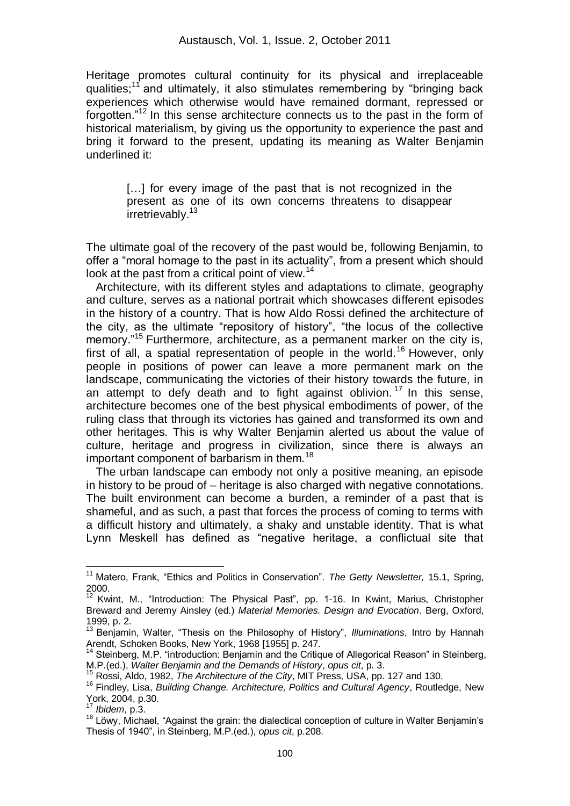Heritage promotes cultural continuity for its physical and irreplaceable qualities;<sup>11</sup> and ultimately, it also stimulates remembering by "bringing back experiences which otherwise would have remained dormant, repressed or forgotten."<sup>12</sup> In this sense architecture connects us to the past in the form of historical materialism, by giving us the opportunity to experience the past and bring it forward to the present, updating its meaning as Walter Benjamin underlined it:

[...] for every image of the past that is not recognized in the present as one of its own concerns threatens to disappear irretrievably.<sup>13</sup>

The ultimate goal of the recovery of the past would be, following Benjamin, to offer a "moral homage to the past in its actuality", from a present which should look at the past from a critical point of view.<sup>14</sup>

 Architecture, with its different styles and adaptations to climate, geography and culture, serves as a national portrait which showcases different episodes in the history of a country. That is how Aldo Rossi defined the architecture of the city, as the ultimate "repository of history", "the locus of the collective memory."<sup>15</sup> Furthermore, architecture, as a permanent marker on the city is, first of all, a spatial representation of people in the world.<sup>16</sup> However, only people in positions of power can leave a more permanent mark on the landscape, communicating the victories of their history towards the future, in an attempt to defy death and to fight against oblivion.<sup>17</sup> In this sense, architecture becomes one of the best physical embodiments of power, of the ruling class that through its victories has gained and transformed its own and other heritages. This is why Walter Benjamin alerted us about the value of culture, heritage and progress in civilization, since there is always an important component of barbarism in them.<sup>18</sup>

 The urban landscape can embody not only a positive meaning, an episode in history to be proud of – heritage is also charged with negative connotations. The built environment can become a burden, a reminder of a past that is shameful, and as such, a past that forces the process of coming to terms with a difficult history and ultimately, a shaky and unstable identity. That is what Lynn Meskell has defined as "negative heritage, a conflictual site that

 $\overline{\phantom{a}}$ 

<sup>&</sup>lt;sup>11</sup> Matero, Frank, "Ethics and Politics in Conservation". The Getty Newsletter, 15.1, Spring,  $2000.$ 

Kwint, M., "Introduction: The Physical Past", pp. 1-16. In Kwint, Marius, Christopher Breward and Jeremy Ainsley (ed.) *Material Memories. Design and Evocation*. Berg, Oxford, 1999, p. 2.

<sup>13</sup> Benjamin, Walter, "Thesis on the Philosophy of History", *Illuminations*, Intro by Hannah Arendt, Schoken Books, New York, 1968 [1955] p. 247.

<sup>&</sup>lt;sup>14</sup> Steinberg, M.P. "introduction: Benjamin and the Critique of Allegorical Reason" in Steinberg, M.P.(ed.), *Walter Benjamin and the Demands of History*, *opus cit*, p. 3.

<sup>15</sup> Rossi, Aldo, 1982, *The Architecture of the City*, MIT Press, USA, pp. 127 and 130.

<sup>16</sup> Findley, Lisa, *Building Change. Architecture, Politics and Cultural Agency*, Routledge, New York, 2004, p.30.

*Ibidem.* p.3.

<sup>18</sup> Löwy, Michael, "Against the grain: the dialectical conception of culture in Walter Benjamin's Thesis of 1940", in Steinberg, M.P.(ed.), *opus cit*, p.208.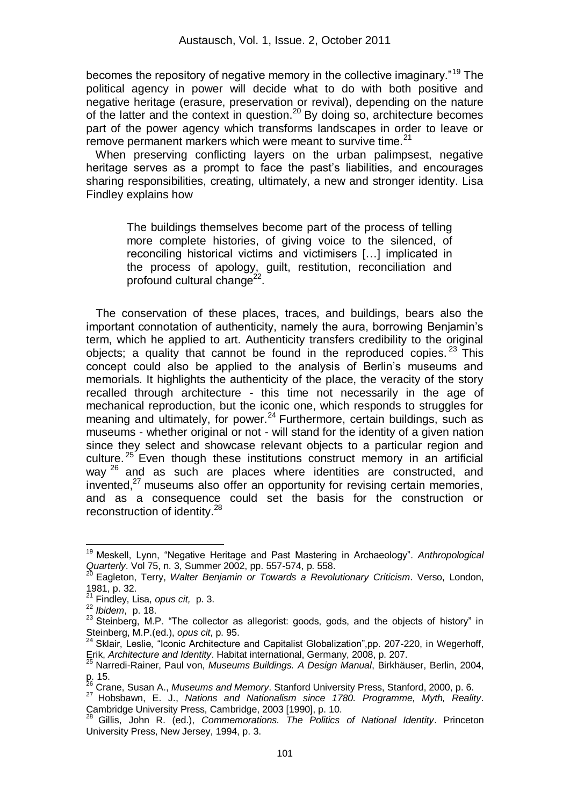becomes the repository of negative memory in the collective imaginary."<sup>19</sup> The political agency in power will decide what to do with both positive and negative heritage (erasure, preservation or revival), depending on the nature of the latter and the context in question.<sup>20</sup> By doing so, architecture becomes part of the power agency which transforms landscapes in order to leave or remove permanent markers which were meant to survive time.<sup>21</sup>

 When preserving conflicting layers on the urban palimpsest, negative heritage serves as a prompt to face the past's liabilities, and encourages sharing responsibilities, creating, ultimately, a new and stronger identity. Lisa Findley explains how

The buildings themselves become part of the process of telling more complete histories, of giving voice to the silenced, of reconciling historical victims and victimisers […] implicated in the process of apology, guilt, restitution, reconciliation and profound cultural change<sup>22</sup>.

 The conservation of these places, traces, and buildings, bears also the important connotation of authenticity, namely the aura, borrowing Benjamin's term, which he applied to art. Authenticity transfers credibility to the original objects; a quality that cannot be found in the reproduced copies.  $23$  This concept could also be applied to the analysis of Berlin"s museums and memorials. It highlights the authenticity of the place, the veracity of the story recalled through architecture - this time not necessarily in the age of mechanical reproduction, but the iconic one, which responds to struggles for meaning and ultimately, for power.<sup>24</sup> Furthermore, certain buildings, such as museums - whether original or not - will stand for the identity of a given nation since they select and showcase relevant objects to a particular region and culture.<sup>25</sup> Even though these institutions construct memory in an artificial way <sup>26</sup> and as such are places where identities are constructed, and invented, $27$  museums also offer an opportunity for revising certain memories, and as a consequence could set the basis for the construction or reconstruction of identity.<sup>28</sup>

 $\overline{a}$ <sup>19</sup> Meskell, Lynn, "Negative Heritage and Past Mastering in Archaeology". *Anthropological Quarterly*. Vol 75, n. 3, Summer 2002, pp. 557-574, p. 558.

<sup>20</sup> Eagleton, Terry, *Walter Benjamin or Towards a Revolutionary Criticism*. Verso, London, 1981, p. 32.

<sup>21</sup> Findley, Lisa, *opus cit,* p. 3.

<sup>22</sup> *Ibidem*, p. 18.

<sup>&</sup>lt;sup>23</sup> Steinberg, M.P. "The collector as allegorist: goods, gods, and the objects of history" in Steinberg, M.P.(ed.), *opus cit*, p. 95.

 $24$  Sklair, Leslie, "Iconic Architecture and Capitalist Globalization", pp. 207-220, in Wegerhoff, Erik, *Architecture and Identity*. Habitat international, Germany, 2008, p. 207.

<sup>25</sup> Narredi-Rainer, Paul von, *Museums Buildings. A Design Manual*, Birkhäuser, Berlin, 2004, p. 15.

<sup>26</sup> Crane, Susan A., *Museums and Memory*. Stanford University Press, Stanford, 2000, p. 6.

<sup>27</sup> Hobsbawn, E. J., *Nations and Nationalism since 1780. Programme, Myth, Reality*. Cambridge University Press, Cambridge, 2003 [1990], p. 10.

<sup>28</sup> Gillis, John R. (ed.), *Commemorations. The Politics of National Identity*. Princeton University Press, New Jersey, 1994, p. 3.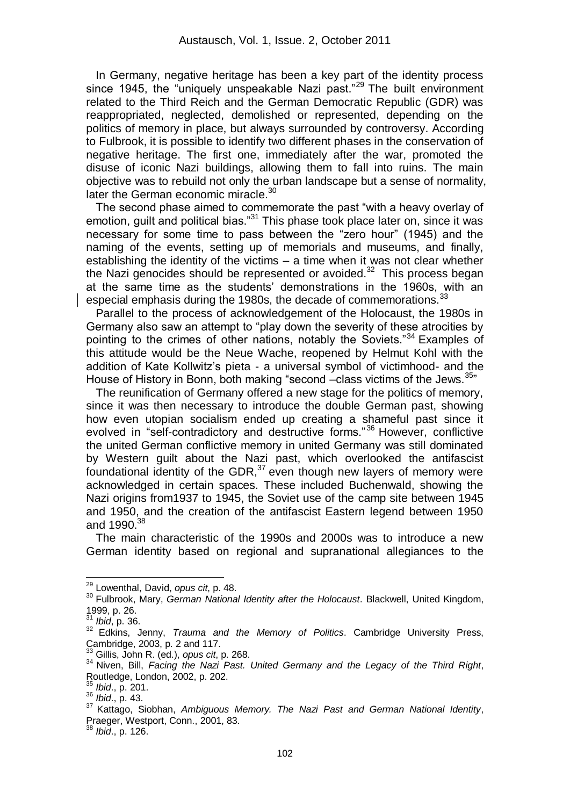In Germany, negative heritage has been a key part of the identity process since 1945, the "uniquely unspeakable Nazi past."<sup>29</sup> The built environment related to the Third Reich and the German Democratic Republic (GDR) was reappropriated, neglected, demolished or represented, depending on the politics of memory in place, but always surrounded by controversy. According to Fulbrook, it is possible to identify two different phases in the conservation of negative heritage. The first one, immediately after the war, promoted the disuse of iconic Nazi buildings, allowing them to fall into ruins. The main objective was to rebuild not only the urban landscape but a sense of normality, later the German economic miracle.<sup>30</sup>

 The second phase aimed to commemorate the past "with a heavy overlay of emotion, guilt and political bias."<sup>31</sup> This phase took place later on, since it was necessary for some time to pass between the "zero hour" (1945) and the naming of the events, setting up of memorials and museums, and finally, establishing the identity of the victims – a time when it was not clear whether the Nazi genocides should be represented or avoided. $32$  This process began at the same time as the students" demonstrations in the 1960s, with an especial emphasis during the 1980s, the decade of commemorations.<sup>33</sup>

 Parallel to the process of acknowledgement of the Holocaust, the 1980s in Germany also saw an attempt to "play down the severity of these atrocities by pointing to the crimes of other nations, notably the Soviets."<sup>34</sup> Examples of this attitude would be the Neue Wache, reopened by Helmut Kohl with the addition of Kate Kollwitz's pieta - a universal symbol of victimhood- and the House of History in Bonn, both making "second -class victims of the Jews.<sup>35</sup>"

 The reunification of Germany offered a new stage for the politics of memory, since it was then necessary to introduce the double German past, showing how even utopian socialism ended up creating a shameful past since it evolved in "self-contradictory and destructive forms."<sup>36</sup> However, conflictive the united German conflictive memory in united Germany was still dominated by Western guilt about the Nazi past, which overlooked the antifascist foundational identity of the GDR, $37$  even though new layers of memory were acknowledged in certain spaces. These included Buchenwald, showing the Nazi origins from1937 to 1945, the Soviet use of the camp site between 1945 and 1950, and the creation of the antifascist Eastern legend between 1950 and 1990.<sup>38</sup>

 The main characteristic of the 1990s and 2000s was to introduce a new German identity based on regional and supranational allegiances to the

 $\overline{\phantom{a}}$ 

<sup>38</sup> *Ibid*., p. 126.

<sup>29</sup> Lowenthal, David, *opus cit*, p. 48.

<sup>30</sup> Fulbrook, Mary, *German National Identity after the Holocaust*. Blackwell, United Kingdom, 1999, p. 26.

<sup>31</sup> *Ibid*, p. 36.

<sup>32</sup> Edkins, Jenny, *Trauma and the Memory of Politics*. Cambridge University Press, Cambridge, 2003, p. 2 and 117.

<sup>33</sup> Gillis, John R. (ed.), *opus cit*, p. 268.

<sup>&</sup>lt;sup>34</sup> Niven, Bill, *Facing the Nazi Past. United Germany and the Legacy of the Third Right*, Routledge, London, 2002, p. 202.

<sup>35</sup> *Ibid*., p. 201.

<sup>36</sup> *Ibid*., p. 43.

<sup>37</sup> Kattago, Siobhan, *Ambiguous Memory. The Nazi Past and German National Identity*, Praeger, Westport, Conn., 2001, 83.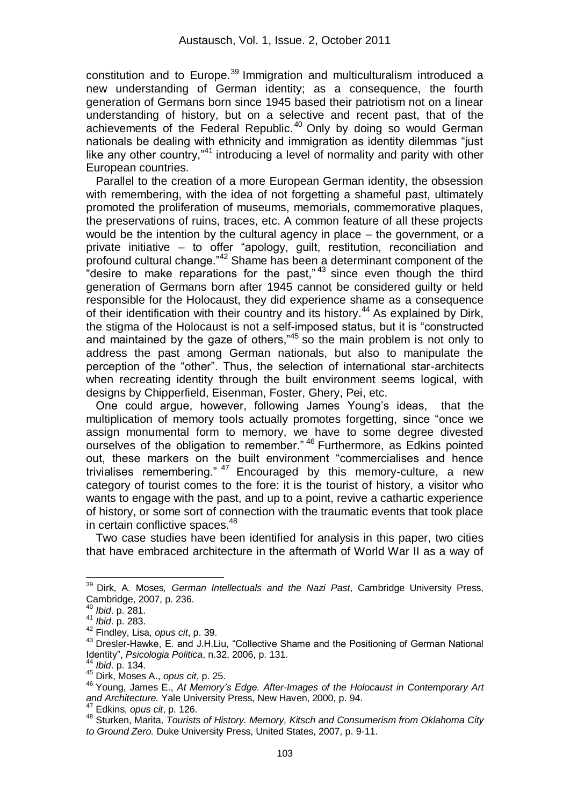constitution and to Europe.<sup>39</sup> Immigration and multiculturalism introduced a new understanding of German identity; as a consequence, the fourth generation of Germans born since 1945 based their patriotism not on a linear understanding of history, but on a selective and recent past, that of the achievements of the Federal Republic.<sup>40</sup> Only by doing so would German nationals be dealing with ethnicity and immigration as identity dilemmas "just like any other country,"<sup>41</sup> introducing a level of normality and parity with other European countries.

 Parallel to the creation of a more European German identity, the obsession with remembering, with the idea of not forgetting a shameful past, ultimately promoted the proliferation of museums, memorials, commemorative plaques, the preservations of ruins, traces, etc. A common feature of all these projects would be the intention by the cultural agency in place – the government, or a private initiative – to offer "apology, guilt, restitution, reconciliation and profound cultural change."<sup>42</sup> Shame has been a determinant component of the "desire to make reparations for the past," $43$  since even though the third generation of Germans born after 1945 cannot be considered guilty or held responsible for the Holocaust, they did experience shame as a consequence of their identification with their country and its history.<sup>44</sup> As explained by Dirk, the stigma of the Holocaust is not a self-imposed status, but it is "constructed and maintained by the gaze of others,"<sup>45</sup> so the main problem is not only to address the past among German nationals, but also to manipulate the perception of the "other". Thus, the selection of international star-architects when recreating identity through the built environment seems logical, with designs by Chipperfield, Eisenman, Foster, Ghery, Pei, etc.

 One could argue, however, following James Young"s ideas, that the multiplication of memory tools actually promotes forgetting, since "once we assign monumental form to memory, we have to some degree divested ourselves of the obligation to remember." <sup>46</sup> Furthermore, as Edkins pointed out, these markers on the built environment "commercialises and hence trivialises remembering."  $47$  Encouraged by this memory-culture, a new category of tourist comes to the fore: it is the tourist of history, a visitor who wants to engage with the past, and up to a point, revive a cathartic experience of history, or some sort of connection with the traumatic events that took place in certain conflictive spaces.<sup>48</sup>

 Two case studies have been identified for analysis in this paper, two cities that have embraced architecture in the aftermath of World War II as a way of

 $\overline{\phantom{a}}$ 

<sup>39</sup> Dirk, A. Moses*, German Intellectuals and the Nazi Past*, Cambridge University Press, Cambridge, 2007, p. 236.

<sup>40</sup> *Ibid*. p. 281.

<sup>41</sup> *Ibid*. p. 283.

<sup>42</sup> Findley, Lisa, *opus cit*, p. 39.

<sup>&</sup>lt;sup>43</sup> Dresler-Hawke, E. and J.H.Liu, "Collective Shame and the Positioning of German National Identity", *Psicologia Politica*, n.32, 2006, p. 131.

<sup>44</sup> *Ibid*. p. 134.

<sup>45</sup> Dirk, Moses A., *opus cit*, p. 25.

<sup>46</sup> Young, James E., *At Memory's Edge. After-Images of the Holocaust in Contemporary Art and Architecture.* Yale University Press, New Haven, 2000, p. 94.

<sup>47</sup> Edkins, *opus cit*, p. 126.

<sup>48</sup> Sturken, Marita, *Tourists of History. Memory, Kitsch and Consumerism from Oklahoma City to Ground Zero.* Duke University Press, United States, 2007, p. 9-11.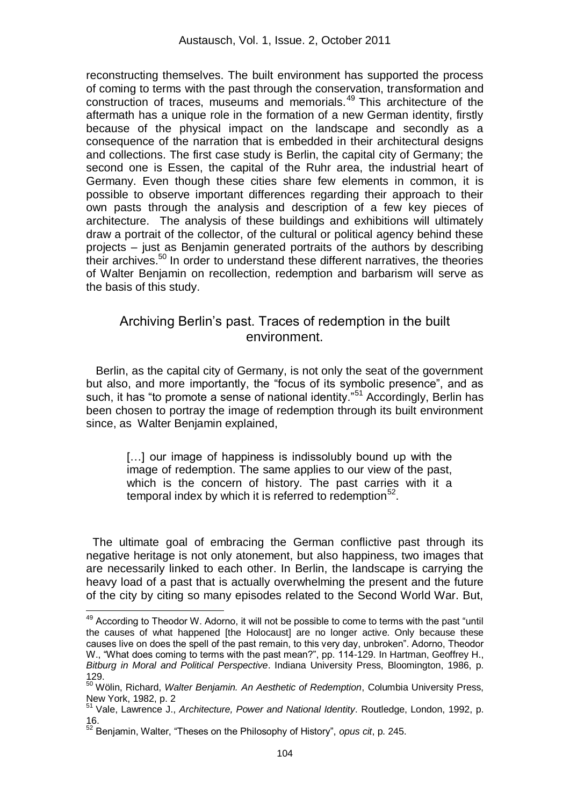reconstructing themselves. The built environment has supported the process of coming to terms with the past through the conservation, transformation and construction of traces, museums and memorials.<sup>49</sup> This architecture of the aftermath has a unique role in the formation of a new German identity, firstly because of the physical impact on the landscape and secondly as a consequence of the narration that is embedded in their architectural designs and collections. The first case study is Berlin, the capital city of Germany; the second one is Essen, the capital of the Ruhr area, the industrial heart of Germany. Even though these cities share few elements in common, it is possible to observe important differences regarding their approach to their own pasts through the analysis and description of a few key pieces of architecture. The analysis of these buildings and exhibitions will ultimately draw a portrait of the collector, of the cultural or political agency behind these projects – just as Benjamin generated portraits of the authors by describing their archives.<sup>50</sup> In order to understand these different narratives, the theories of Walter Benjamin on recollection, redemption and barbarism will serve as the basis of this study.

## Archiving Berlin"s past. Traces of redemption in the built environment.

 Berlin, as the capital city of Germany, is not only the seat of the government but also, and more importantly, the "focus of its symbolic presence", and as such, it has "to promote a sense of national identity."<sup>51</sup> Accordingly, Berlin has been chosen to portray the image of redemption through its built environment since, as Walter Benjamin explained,

> [...] our image of happiness is indissolubly bound up with the image of redemption. The same applies to our view of the past, which is the concern of history. The past carries with it a temporal index by which it is referred to redemption $52$ .

 The ultimate goal of embracing the German conflictive past through its negative heritage is not only atonement, but also happiness, two images that are necessarily linked to each other. In Berlin, the landscape is carrying the heavy load of a past that is actually overwhelming the present and the future of the city by citing so many episodes related to the Second World War. But,

<sup>&</sup>lt;sup>49</sup> According to Theodor W. Adorno, it will not be possible to come to terms with the past "until the causes of what happened [the Holocaust] are no longer active. Only because these causes live on does the spell of the past remain, to this very day, unbroken". Adorno, Theodor W., "What does coming to terms with the past mean?", pp. 114-129. In Hartman, Geoffrey H., *Bitburg in Moral and Political Perspective*. Indiana University Press, Bloomington, 1986, p. 129.

<sup>50</sup> Wölin, Richard, *Walter Benjamin. An Aesthetic of Redemption*, Columbia University Press, New York, 1982, p. 2

<sup>51</sup> Vale, Lawrence J., *Architecture, Power and National Identity*. Routledge, London, 1992, p. 16.

<sup>52</sup> Benjamin, Walter, "Theses on the Philosophy of History", *opus cit*, p. 245.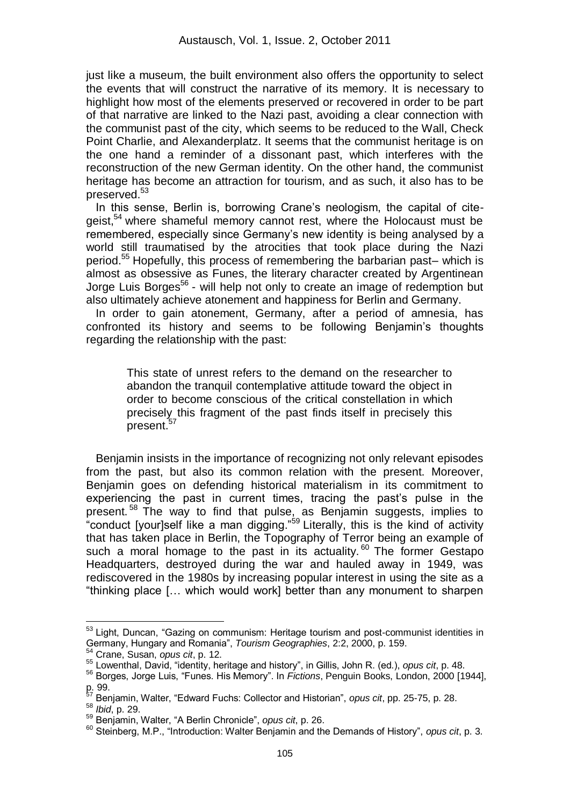just like a museum, the built environment also offers the opportunity to select the events that will construct the narrative of its memory. It is necessary to highlight how most of the elements preserved or recovered in order to be part of that narrative are linked to the Nazi past, avoiding a clear connection with the communist past of the city, which seems to be reduced to the Wall, Check Point Charlie, and Alexanderplatz. It seems that the communist heritage is on the one hand a reminder of a dissonant past, which interferes with the reconstruction of the new German identity. On the other hand, the communist heritage has become an attraction for tourism, and as such, it also has to be preserved.<sup>53</sup>

In this sense, Berlin is, borrowing Crane's neologism, the capital of citegeist,<sup>54</sup> where shameful memory cannot rest, where the Holocaust must be remembered, especially since Germany"s new identity is being analysed by a world still traumatised by the atrocities that took place during the Nazi period.<sup>55</sup> Hopefully, this process of remembering the barbarian past– which is almost as obsessive as Funes, the literary character created by Argentinean Jorge Luis Borges<sup>56</sup> - will help not only to create an image of redemption but also ultimately achieve atonement and happiness for Berlin and Germany.

 In order to gain atonement, Germany, after a period of amnesia, has confronted its history and seems to be following Benjamin's thoughts regarding the relationship with the past:

> This state of unrest refers to the demand on the researcher to abandon the tranquil contemplative attitude toward the object in order to become conscious of the critical constellation in which precisely this fragment of the past finds itself in precisely this present.<sup>57</sup>

 Benjamin insists in the importance of recognizing not only relevant episodes from the past, but also its common relation with the present. Moreover, Benjamin goes on defending historical materialism in its commitment to experiencing the past in current times, tracing the past's pulse in the present.<sup>58</sup> The way to find that pulse, as Benjamin suggests, implies to "conduct [your]self like a man digging."<sup>59</sup> Literally, this is the kind of activity that has taken place in Berlin, the Topography of Terror being an example of such a moral homage to the past in its actuality.<sup>60</sup> The former Gestapo Headquarters, destroyed during the war and hauled away in 1949, was rediscovered in the 1980s by increasing popular interest in using the site as a "thinking place [… which would work] better than any monument to sharpen

<sup>&</sup>lt;sup>53</sup> Light, Duncan, "Gazing on communism: Heritage tourism and post-communist identities in Germany, Hungary and Romania", *Tourism Geographies*, 2:2, 2000, p. 159.

<sup>54</sup> Crane, Susan, *opus cit*, p. 12.

<sup>55</sup> Lowenthal, David, "identity, heritage and history", in Gillis, John R. (ed.), *opus cit*, p. 48.

<sup>56</sup> Borges, Jorge Luis, "Funes. His Memory". In *Fictions*, Penguin Books, London, 2000 [1944],  $p. 99.$ 

<sup>57</sup> Benjamin, Walter, "Edward Fuchs: Collector and Historian", *opus cit*, pp. 25-75, p. 28.

<sup>58</sup> *Ibid*, p. 29.

<sup>59</sup> Benjamin, Walter, "A Berlin Chronicle", *opus cit*, p. 26.

<sup>60</sup> Steinberg, M.P., "Introduction: Walter Benjamin and the Demands of History", *opus cit*, p. 3.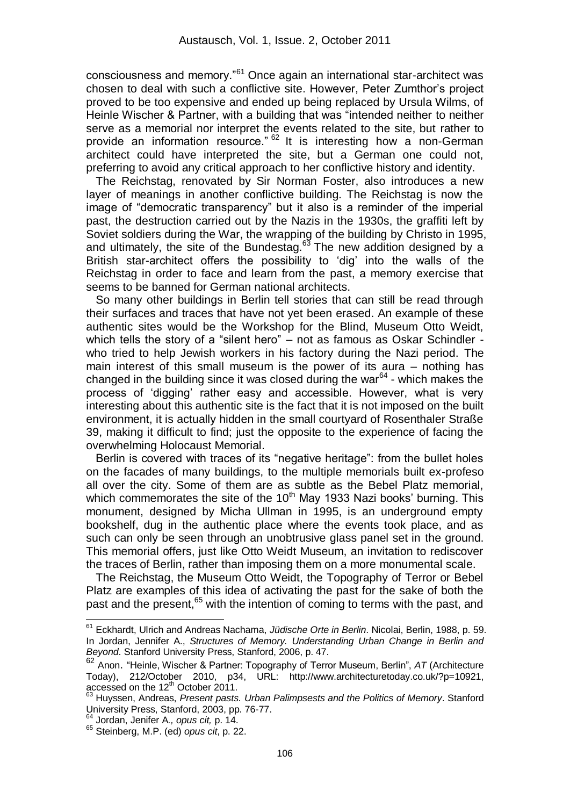consciousness and memory."<sup>61</sup> Once again an international star-architect was chosen to deal with such a conflictive site. However, Peter Zumthor"s project proved to be too expensive and ended up being replaced by Ursula Wilms, of Heinle Wischer & Partner, with a building that was "intended neither to neither serve as a memorial nor interpret the events related to the site, but rather to provide an information resource." <sup>62</sup> It is interesting how a non-German architect could have interpreted the site, but a German one could not, preferring to avoid any critical approach to her conflictive history and identity.

 The Reichstag, renovated by Sir Norman Foster, also introduces a new layer of meanings in another conflictive building. The Reichstag is now the image of "democratic transparency" but it also is a reminder of the imperial past, the destruction carried out by the Nazis in the 1930s, the graffiti left by Soviet soldiers during the War, the wrapping of the building by Christo in 1995, and ultimately, the site of the Bundestag.<sup>63</sup> The new addition designed by a British star-architect offers the possibility to "dig" into the walls of the Reichstag in order to face and learn from the past, a memory exercise that seems to be banned for German national architects.

 So many other buildings in Berlin tell stories that can still be read through their surfaces and traces that have not yet been erased. An example of these authentic sites would be the Workshop for the Blind, Museum Otto Weidt, which tells the story of a "silent hero" – not as famous as Oskar Schindler who tried to help Jewish workers in his factory during the Nazi period. The main interest of this small museum is the power of its aura – nothing has changed in the building since it was closed during the war $^{64}$  - which makes the process of "digging" rather easy and accessible. However, what is very interesting about this authentic site is the fact that it is not imposed on the built environment, it is actually hidden in the small courtyard of Rosenthaler Straße 39, making it difficult to find; just the opposite to the experience of facing the overwhelming Holocaust Memorial.

 Berlin is covered with traces of its "negative heritage": from the bullet holes on the facades of many buildings, to the multiple memorials built ex-profeso all over the city. Some of them are as subtle as the Bebel Platz memorial, which commemorates the site of the  $10<sup>th</sup>$  May 1933 Nazi books' burning. This monument, designed by Micha Ullman in 1995, is an underground empty bookshelf, dug in the authentic place where the events took place, and as such can only be seen through an unobtrusive glass panel set in the ground. This memorial offers, just like Otto Weidt Museum, an invitation to rediscover the traces of Berlin, rather than imposing them on a more monumental scale.

 The Reichstag, the Museum Otto Weidt, the Topography of Terror or Bebel Platz are examples of this idea of activating the past for the sake of both the past and the present.<sup>65</sup> with the intention of coming to terms with the past, and

<sup>61</sup> Eckhardt, Ulrich and Andreas Nachama, *Jüdische Orte in Berlin*. Nicolai, Berlin, 1988, p. 59. In Jordan, Jennifer A., *Structures of Memory. Understanding Urban Change in Berlin and Beyond*. Stanford University Press, Stanford, 2006, p. 47.

<sup>62</sup> Anon. "Heinle, Wischer & Partner: Topography of Terror Museum, Berlin", *AT* (Architecture Today), 212/October 2010, p34, URL: http://www.architecturetoday.co.uk/?p=10921, accessed on the 12<sup>th</sup> October 2011.

<sup>63</sup> Huyssen, Andreas, *Present pasts. Urban Palimpsests and the Politics of Memory*. Stanford University Press, Stanford, 2003, pp. 76-77.

<sup>64</sup> Jordan, Jenifer A*., opus cit,* p. 14.

<sup>65</sup> Steinberg, M.P. (ed) *opus cit*, p. 22.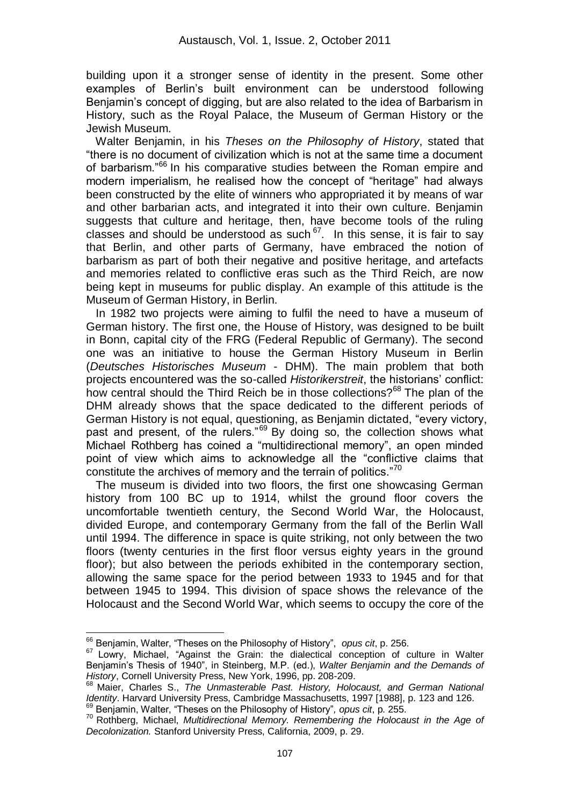building upon it a stronger sense of identity in the present. Some other examples of Berlin"s built environment can be understood following Benjamin"s concept of digging, but are also related to the idea of Barbarism in History, such as the Royal Palace, the Museum of German History or the Jewish Museum.

 Walter Benjamin, in his *Theses on the Philosophy of History*, stated that "there is no document of civilization which is not at the same time a document of barbarism."<sup>66</sup> In his comparative studies between the Roman empire and modern imperialism, he realised how the concept of "heritage" had always been constructed by the elite of winners who appropriated it by means of war and other barbarian acts, and integrated it into their own culture. Benjamin suggests that culture and heritage, then, have become tools of the ruling classes and should be understood as such  $67$ . In this sense, it is fair to say that Berlin, and other parts of Germany, have embraced the notion of barbarism as part of both their negative and positive heritage, and artefacts and memories related to conflictive eras such as the Third Reich, are now being kept in museums for public display. An example of this attitude is the Museum of German History, in Berlin.

 In 1982 two projects were aiming to fulfil the need to have a museum of German history. The first one, the House of History, was designed to be built in Bonn, capital city of the FRG (Federal Republic of Germany). The second one was an initiative to house the German History Museum in Berlin (*Deutsches Historisches Museum* - DHM). The main problem that both projects encountered was the so-called *Historikerstreit*, the historians" conflict: how central should the Third Reich be in those collections?<sup>68</sup> The plan of the DHM already shows that the space dedicated to the different periods of German History is not equal, questioning, as Benjamin dictated, "every victory, past and present, of the rulers."<sup>69</sup> By doing so, the collection shows what Michael Rothberg has coined a "multidirectional memory", an open minded point of view which aims to acknowledge all the "conflictive claims that constitute the archives of memory and the terrain of politics."<sup>70</sup>

 The museum is divided into two floors, the first one showcasing German history from 100 BC up to 1914, whilst the ground floor covers the uncomfortable twentieth century, the Second World War, the Holocaust, divided Europe, and contemporary Germany from the fall of the Berlin Wall until 1994. The difference in space is quite striking, not only between the two floors (twenty centuries in the first floor versus eighty years in the ground floor); but also between the periods exhibited in the contemporary section, allowing the same space for the period between 1933 to 1945 and for that between 1945 to 1994. This division of space shows the relevance of the Holocaust and the Second World War, which seems to occupy the core of the

<sup>&</sup>lt;u>.</u> <sup>66</sup> Benjamin, Walter, "Theses on the Philosophy of History", *opus cit*, p. 256.

 $67$  Lowry, Michael, "Against the Grain: the dialectical conception of culture in Walter Benjamin"s Thesis of 1940", in Steinberg, M.P. (ed.), *Walter Benjamin and the Demands of History*, Cornell University Press, New York, 1996, pp. 208-209.

<sup>68</sup> Maier, Charles S., *The Unmasterable Past. History, Holocaust, and German National Identity*. Harvard University Press, Cambridge Massachusetts, 1997 [1988], p. 123 and 126.

<sup>69</sup> Benjamin, Walter, "Theses on the Philosophy of History"*, opus cit*, p. 255.

<sup>70</sup> Rothberg, Michael, *Multidirectional Memory. Remembering the Holocaust in the Age of Decolonization.* Stanford University Press, California, 2009, p. 29.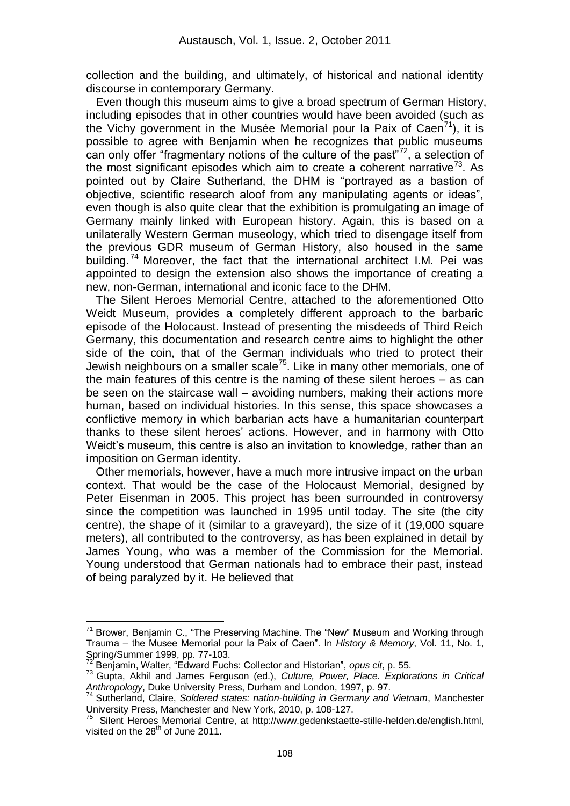collection and the building, and ultimately, of historical and national identity discourse in contemporary Germany.

 Even though this museum aims to give a broad spectrum of German History, including episodes that in other countries would have been avoided (such as the Vichy government in the Musée Memorial pour la Paix of Caen<sup>71</sup>), it is possible to agree with Benjamin when he recognizes that public museums can only offer "fragmentary notions of the culture of the past"<sup>72</sup>, a selection of the most significant episodes which aim to create a coherent narrative<sup>73</sup>. As pointed out by Claire Sutherland, the DHM is "portrayed as a bastion of objective, scientific research aloof from any manipulating agents or ideas", even though is also quite clear that the exhibition is promulgating an image of Germany mainly linked with European history. Again, this is based on a unilaterally Western German museology, which tried to disengage itself from the previous GDR museum of German History, also housed in the same building.<sup>74</sup> Moreover, the fact that the international architect I.M. Pei was appointed to design the extension also shows the importance of creating a new, non-German, international and iconic face to the DHM.

 The Silent Heroes Memorial Centre, attached to the aforementioned Otto Weidt Museum, provides a completely different approach to the barbaric episode of the Holocaust. Instead of presenting the misdeeds of Third Reich Germany, this documentation and research centre aims to highlight the other side of the coin, that of the German individuals who tried to protect their Jewish neighbours on a smaller scale<sup>75</sup>. Like in many other memorials, one of the main features of this centre is the naming of these silent heroes – as can be seen on the staircase wall – avoiding numbers, making their actions more human, based on individual histories. In this sense, this space showcases a conflictive memory in which barbarian acts have a humanitarian counterpart thanks to these silent heroes" actions. However, and in harmony with Otto Weidt's museum, this centre is also an invitation to knowledge, rather than an imposition on German identity.

 Other memorials, however, have a much more intrusive impact on the urban context. That would be the case of the Holocaust Memorial, designed by Peter Eisenman in 2005. This project has been surrounded in controversy since the competition was launched in 1995 until today. The site (the city centre), the shape of it (similar to a graveyard), the size of it (19,000 square meters), all contributed to the controversy, as has been explained in detail by James Young, who was a member of the Commission for the Memorial. Young understood that German nationals had to embrace their past, instead of being paralyzed by it. He believed that

Brower, Benjamin C., "The Preserving Machine. The "New" Museum and Working through Trauma – the Musee Memorial pour la Paix of Caen". In *History & Memory*, Vol. 11, No. 1, Spring/Summer 1999, pp. 77-103.

<sup>72</sup> Benjamin, Walter, "Edward Fuchs: Collector and Historian", *opus cit*, p. 55.

<sup>73</sup> Gupta, Akhil and James Ferguson (ed.), *Culture, Power, Place. Explorations in Critical Anthropology*, Duke University Press, Durham and London, 1997, p. 97.

<sup>74</sup> Sutherland, Claire, *Soldered states: nation-building in Germany and Vietnam*, Manchester University Press, Manchester and New York, 2010, p. 108-127.

<sup>&</sup>lt;sup>75</sup> Silent Heroes Memorial Centre, at http://www.gedenkstaette-stille-helden.de/english.html, visited on the 28<sup>th</sup> of June 2011.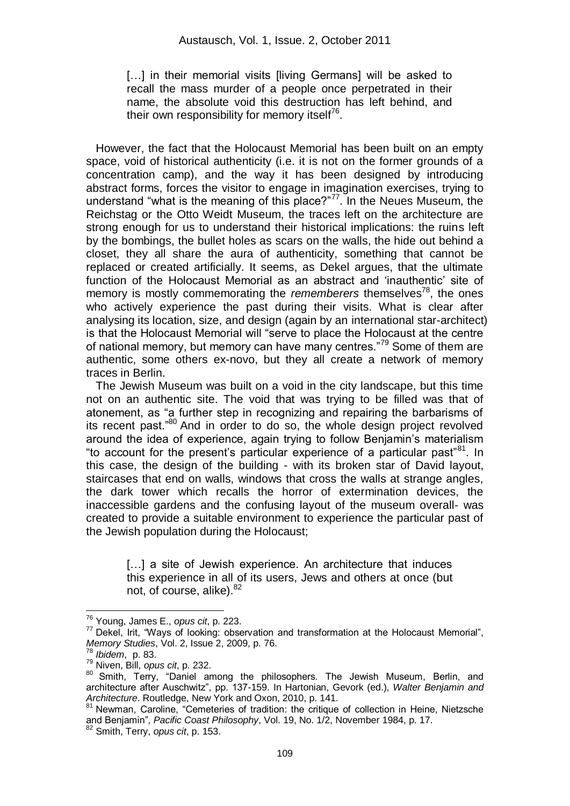[...] in their memorial visits [living Germans] will be asked to recall the mass murder of a people once perpetrated in their name, the absolute void this destruction has left behind, and their own responsibility for memory itself<sup>76</sup>.

 However, the fact that the Holocaust Memorial has been built on an empty space, void of historical authenticity (i.e. it is not on the former grounds of a concentration camp), and the way it has been designed by introducing abstract forms, forces the visitor to engage in imagination exercises, trying to understand "what is the meaning of this place?"<sup>77</sup>. In the Neues Museum, the Reichstag or the Otto Weidt Museum, the traces left on the architecture are strong enough for us to understand their historical implications: the ruins left by the bombings, the bullet holes as scars on the walls, the hide out behind a closet, they all share the aura of authenticity, something that cannot be replaced or created artificially. It seems, as Dekel argues, that the ultimate function of the Holocaust Memorial as an abstract and "inauthentic" site of memory is mostly commemorating the *rememberers* themselves<sup>78</sup>, the ones who actively experience the past during their visits. What is clear after analysing its location, size, and design (again by an international star-architect) is that the Holocaust Memorial will "serve to place the Holocaust at the centre of national memory, but memory can have many centres."<sup>79</sup> Some of them are authentic, some others ex-novo, but they all create a network of memory traces in Berlin.

 The Jewish Museum was built on a void in the city landscape, but this time not on an authentic site. The void that was trying to be filled was that of atonement, as "a further step in recognizing and repairing the barbarisms of its recent past."<sup>80</sup> And in order to do so, the whole design project revolved around the idea of experience, again trying to follow Benjamin"s materialism "to account for the present's particular experience of a particular past<sup>"81</sup>. In this case, the design of the building - with its broken star of David layout, staircases that end on walls, windows that cross the walls at strange angles, the dark tower which recalls the horror of extermination devices, the inaccessible gardens and the confusing layout of the museum overall- was created to provide a suitable environment to experience the particular past of the Jewish population during the Holocaust;

> [...] a site of Jewish experience. An architecture that induces this experience in all of its users, Jews and others at once (but not, of course, alike). <sup>82</sup>

<sup>76</sup> Young, James E., *opus cit*, p. 223.

 $77$  Dekel, Irit, "Ways of looking: observation and transformation at the Holocaust Memorial", *Memory Studies*, Vol. 2, Issue 2, 2009, p. 76.

<sup>78</sup> *Ibidem*, p. 83.

<sup>79</sup> Niven, Bill, *opus cit*, p. 232.

<sup>80</sup> Smith, Terry, "Daniel among the philosophers. The Jewish Museum, Berlin, and architecture after Auschwitz", pp. 137-159. In Hartonian, Gevork (ed.), *Walter Benjamin and Architecture*. Routledge, New York and Oxon, 2010, p. 141.

<sup>81</sup> Newman, Caroline, "Cemeteries of tradition: the critique of collection in Heine, Nietzsche and Benjamin", *Pacific Coast Philosophy*, Vol. 19, No. 1/2, November 1984, p. 17.

<sup>82</sup> Smith, Terry, *opus cit*, p. 153.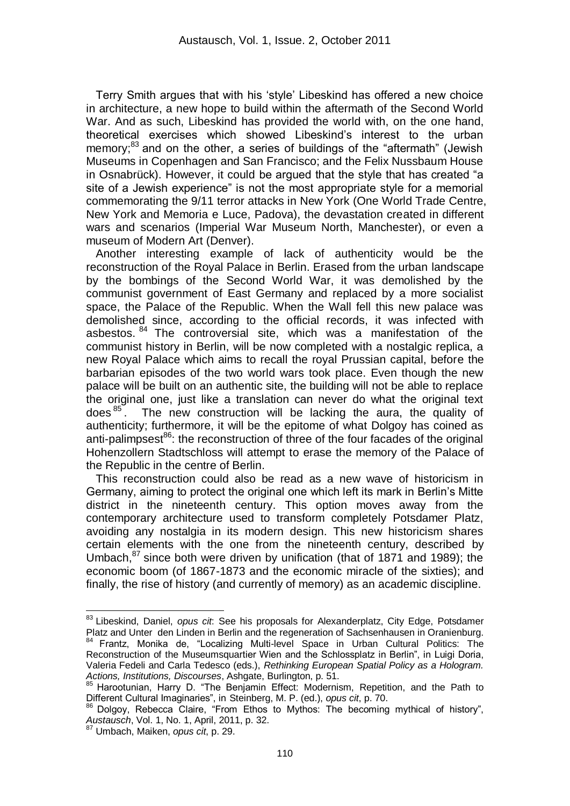Terry Smith argues that with his "style" Libeskind has offered a new choice in architecture, a new hope to build within the aftermath of the Second World War. And as such, Libeskind has provided the world with, on the one hand, theoretical exercises which showed Libeskind"s interest to the urban memory; $^{83}$  and on the other, a series of buildings of the "aftermath" (Jewish Museums in Copenhagen and San Francisco; and the Felix Nussbaum House in Osnabrück). However, it could be argued that the style that has created "a site of a Jewish experience" is not the most appropriate style for a memorial commemorating the 9/11 terror attacks in New York (One World Trade Centre, New York and Memoria e Luce, Padova), the devastation created in different wars and scenarios (Imperial War Museum North, Manchester), or even a museum of Modern Art (Denver).

 Another interesting example of lack of authenticity would be the reconstruction of the Royal Palace in Berlin. Erased from the urban landscape by the bombings of the Second World War, it was demolished by the communist government of East Germany and replaced by a more socialist space, the Palace of the Republic. When the Wall fell this new palace was demolished since, according to the official records, it was infected with asbestos. 84 The controversial site, which was a manifestation of the communist history in Berlin, will be now completed with a nostalgic replica, a new Royal Palace which aims to recall the royal Prussian capital, before the barbarian episodes of the two world wars took place. Even though the new palace will be built on an authentic site, the building will not be able to replace the original one, just like a translation can never do what the original text does  $85$ . The new construction will be lacking the aura, the quality of authenticity; furthermore, it will be the epitome of what Dolgoy has coined as anti-palimpsest<sup>86</sup>: the reconstruction of three of the four facades of the original Hohenzollern Stadtschloss will attempt to erase the memory of the Palace of the Republic in the centre of Berlin.

 This reconstruction could also be read as a new wave of historicism in Germany, aiming to protect the original one which left its mark in Berlin"s Mitte district in the nineteenth century. This option moves away from the contemporary architecture used to transform completely Potsdamer Platz, avoiding any nostalgia in its modern design. This new historicism shares certain elements with the one from the nineteenth century, described by Umbach. $87$  since both were driven by unification (that of 1871 and 1989); the economic boom (of 1867-1873 and the economic miracle of the sixties); and finally, the rise of history (and currently of memory) as an academic discipline.

<sup>83</sup> Libeskind, Daniel, *opus cit*: See his proposals for Alexanderplatz, City Edge, Potsdamer Platz and Unter den Linden in Berlin and the regeneration of Sachsenhausen in Oranienburg. <sup>84</sup> Frantz, Monika de, "Localizing Multi-level Space in Urban Cultural Politics: The Reconstruction of the Museumsquartier Wien and the Schlossplatz in Berlin", in Luigi Doria, Valeria Fedeli and Carla Tedesco (eds.), *Rethinking European Spatial Policy as a Hologram. Actions, Institutions, Discourses*, Ashgate, Burlington, p. 51.

<sup>&</sup>lt;sup>85</sup> Harootunian, Harry D. "The Benjamin Effect: Modernism, Repetition, and the Path to Different Cultural Imaginaries", in Steinberg, M. P. (ed.), *opus cit*, p. 70.

<sup>&</sup>lt;sup>86</sup> Dolgoy, Rebecca Claire, "From Ethos to Mythos: The becoming mythical of history", *Austausch*, Vol. 1, No. 1, April, 2011, p. 32.

<sup>87</sup> Umbach, Maiken, *opus cit*, p. 29.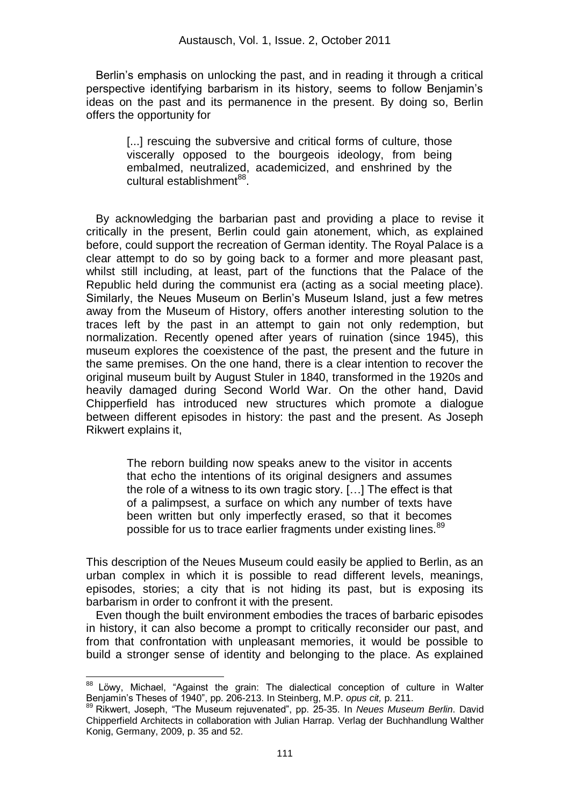Berlin"s emphasis on unlocking the past, and in reading it through a critical perspective identifying barbarism in its history, seems to follow Benjamin"s ideas on the past and its permanence in the present. By doing so, Berlin offers the opportunity for

[...] rescuing the subversive and critical forms of culture, those viscerally opposed to the bourgeois ideology, from being embalmed, neutralized, academicized, and enshrined by the cultural establishment<sup>88</sup>.

 By acknowledging the barbarian past and providing a place to revise it critically in the present, Berlin could gain atonement, which, as explained before, could support the recreation of German identity. The Royal Palace is a clear attempt to do so by going back to a former and more pleasant past, whilst still including, at least, part of the functions that the Palace of the Republic held during the communist era (acting as a social meeting place). Similarly, the Neues Museum on Berlin"s Museum Island, just a few metres away from the Museum of History, offers another interesting solution to the traces left by the past in an attempt to gain not only redemption, but normalization. Recently opened after years of ruination (since 1945), this museum explores the coexistence of the past, the present and the future in the same premises. On the one hand, there is a clear intention to recover the original museum built by August Stuler in 1840, transformed in the 1920s and heavily damaged during Second World War. On the other hand, David Chipperfield has introduced new structures which promote a dialogue between different episodes in history: the past and the present. As Joseph Rikwert explains it,

> The reborn building now speaks anew to the visitor in accents that echo the intentions of its original designers and assumes the role of a witness to its own tragic story. […] The effect is that of a palimpsest, a surface on which any number of texts have been written but only imperfectly erased, so that it becomes possible for us to trace earlier fragments under existing lines.<sup>89</sup>

This description of the Neues Museum could easily be applied to Berlin, as an urban complex in which it is possible to read different levels, meanings, episodes, stories; a city that is not hiding its past, but is exposing its barbarism in order to confront it with the present.

 Even though the built environment embodies the traces of barbaric episodes in history, it can also become a prompt to critically reconsider our past, and from that confrontation with unpleasant memories, it would be possible to build a stronger sense of identity and belonging to the place. As explained

<u>.</u>

<sup>&</sup>lt;sup>88</sup> Löwy, Michael, "Against the grain: The dialectical conception of culture in Walter Benjamin"s Theses of 1940", pp. 206-213. In Steinberg, M.P. *opus cit,* p. 211.

<sup>89</sup> Rikwert, Joseph, "The Museum rejuvenated", pp. 25-35. In *Neues Museum Berlin*. David Chipperfield Architects in collaboration with Julian Harrap. Verlag der Buchhandlung Walther Konig, Germany, 2009, p. 35 and 52.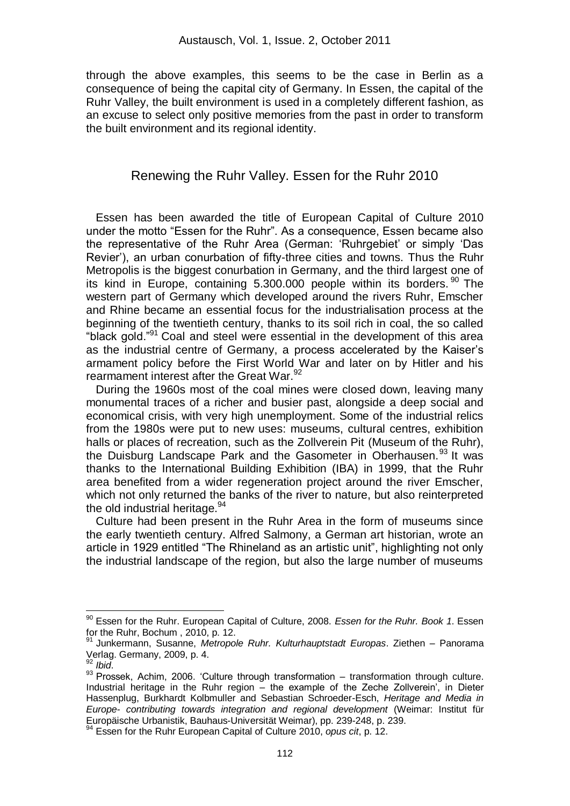through the above examples, this seems to be the case in Berlin as a consequence of being the capital city of Germany. In Essen, the capital of the Ruhr Valley, the built environment is used in a completely different fashion, as an excuse to select only positive memories from the past in order to transform the built environment and its regional identity.

## Renewing the Ruhr Valley. Essen for the Ruhr 2010

 Essen has been awarded the title of European Capital of Culture 2010 under the motto "Essen for the Ruhr". As a consequence, Essen became also the representative of the Ruhr Area (German: "Ruhrgebiet" or simply "Das Revier"), an urban conurbation of fifty-three cities and towns. Thus the Ruhr Metropolis is the biggest conurbation in Germany, and the third largest one of its kind in Europe, containing 5.300.000 people within its borders.<sup>90</sup> The western part of Germany which developed around the rivers Ruhr, Emscher and Rhine became an essential focus for the industrialisation process at the beginning of the twentieth century, thanks to its soil rich in coal, the so called "black gold."<sup>91</sup> Coal and steel were essential in the development of this area as the industrial centre of Germany, a process accelerated by the Kaiser"s armament policy before the First World War and later on by Hitler and his rearmament interest after the Great War.<sup>92</sup>

 During the 1960s most of the coal mines were closed down, leaving many monumental traces of a richer and busier past, alongside a deep social and economical crisis, with very high unemployment. Some of the industrial relics from the 1980s were put to new uses: museums, cultural centres, exhibition halls or places of recreation, such as the Zollverein Pit (Museum of the Ruhr), the Duisburg Landscape Park and the Gasometer in Oberhausen.<sup>93</sup> It was thanks to the International Building Exhibition (IBA) in 1999, that the Ruhr area benefited from a wider regeneration project around the river Emscher, which not only returned the banks of the river to nature, but also reinterpreted the old industrial heritage.<sup>94</sup>

 Culture had been present in the Ruhr Area in the form of museums since the early twentieth century. Alfred Salmony, a German art historian, wrote an article in 1929 entitled "The Rhineland as an artistic unit", highlighting not only the industrial landscape of the region, but also the large number of museums

<sup>90</sup> Essen for the Ruhr. European Capital of Culture, 2008. *Essen for the Ruhr. Book 1*. Essen for the Ruhr, Bochum , 2010, p. 12.

<sup>91</sup> Junkermann, Susanne, *Metropole Ruhr. Kulturhauptstadt Europas*. Ziethen – Panorama Verlag. Germany, 2009, p. 4.

<sup>92</sup> *Ibid*.

<sup>93</sup> Prossek, Achim, 2006. 'Culture through transformation – transformation through culture. Industrial heritage in the Ruhr region – the example of the Zeche Zollverein", in Dieter Hassenplug, Burkhardt Kolbmuller and Sebastian Schroeder-Esch, *Heritage and Media in Europe- contributing towards integration and regional development* (Weimar: Institut für Europäische Urbanistik, Bauhaus-Universität Weimar), pp. 239-248, p. 239.

<sup>&</sup>lt;sup>4</sup> Essen for the Ruhr European Capital of Culture 2010, *opus cit*, p. 12.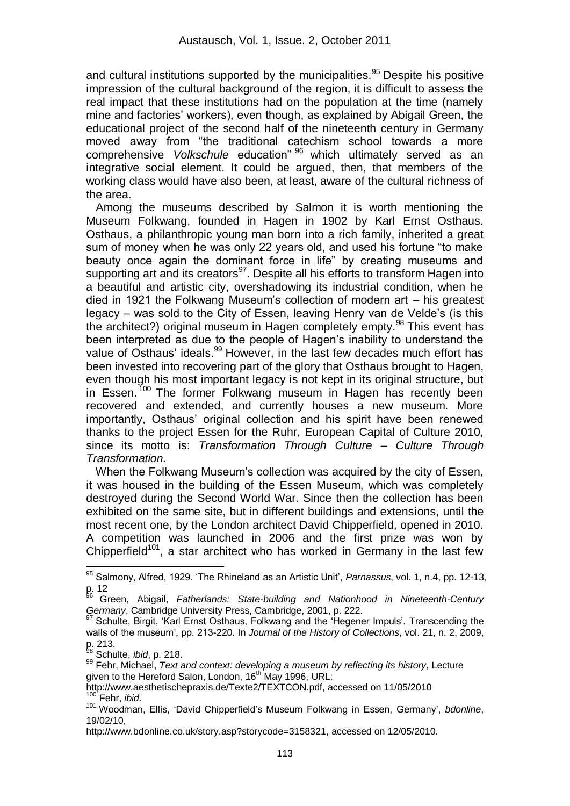and cultural institutions supported by the municipalities.<sup>95</sup> Despite his positive impression of the cultural background of the region, it is difficult to assess the real impact that these institutions had on the population at the time (namely mine and factories' workers), even though, as explained by Abigail Green, the educational project of the second half of the nineteenth century in Germany moved away from "the traditional catechism school towards a more comprehensive *Volkschule* education" <sup>96</sup> which ultimately served as an integrative social element. It could be argued, then, that members of the working class would have also been, at least, aware of the cultural richness of the area.

 Among the museums described by Salmon it is worth mentioning the Museum Folkwang, founded in Hagen in 1902 by Karl Ernst Osthaus. Osthaus, a philanthropic young man born into a rich family, inherited a great sum of money when he was only 22 years old, and used his fortune "to make beauty once again the dominant force in life" by creating museums and supporting art and its creators<sup>97</sup>. Despite all his efforts to transform Hagen into a beautiful and artistic city, overshadowing its industrial condition, when he died in 1921 the Folkwang Museum"s collection of modern art – his greatest legacy – was sold to the City of Essen, leaving Henry van de Velde"s (is this the architect?) original museum in Hagen completely empty.<sup>98</sup> This event has been interpreted as due to the people of Hagen"s inability to understand the value of Osthaus' ideals.<sup>99</sup> However, in the last few decades much effort has been invested into recovering part of the glory that Osthaus brought to Hagen, even though his most important legacy is not kept in its original structure, but in Essen.  $100$  The former Folkwang museum in Hagen has recently been recovered and extended, and currently houses a new museum. More importantly, Osthaus' original collection and his spirit have been renewed thanks to the project Essen for the Ruhr, European Capital of Culture 2010, since its motto is: *Transformation Through Culture – Culture Through Transformation.*

 When the Folkwang Museum"s collection was acquired by the city of Essen, it was housed in the building of the Essen Museum, which was completely destroyed during the Second World War. Since then the collection has been exhibited on the same site, but in different buildings and extensions, until the most recent one, by the London architect David Chipperfield, opened in 2010. A competition was launched in 2006 and the first prize was won by Chipperfield<sup>101</sup>, a star architect who has worked in Germany in the last few

 $\overline{a}$ <sup>95</sup> Salmony, Alfred, 1929. "The Rhineland as an Artistic Unit", *Parnassus*, vol. 1, n.4, pp. 12-13,  $p_6$  12

<sup>96</sup> Green, Abigail, *Fatherlands: State-building and Nationhood in Nineteenth-Century Germany*, Cambridge University Press, Cambridge, 2001, p. 222.

Schulte, Birgit, 'Karl Ernst Osthaus, Folkwang and the 'Hegener Impuls'. Transcending the walls of the museum", pp. 213-220. In *Journal of the History of Collections*, vol. 21, n. 2, 2009, p. 213.

<sup>98</sup> Schulte, *ibid*, p. 218.

<sup>99</sup> Fehr, Michael, *Text and context: developing a museum by reflecting its history*, Lecture given to the Hereford Salon, London, 16<sup>th</sup> May 1996, URL:

http://www.aesthetischepraxis.de/Texte2/TEXTCON.pdf, accessed on 11/05/2010 Fehr. *ibid.* 

<sup>101</sup> Woodman, Ellis, "David Chipperfield"s Museum Folkwang in Essen, Germany", *bdonline*, 19/02/10,

http://www.bdonline.co.uk/story.asp?storycode=3158321, accessed on 12/05/2010.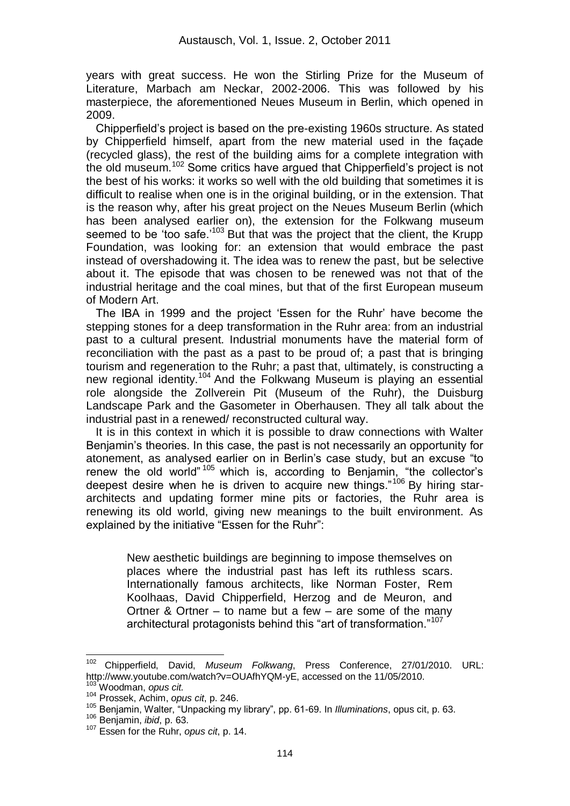years with great success. He won the Stirling Prize for the Museum of Literature, Marbach am Neckar, 2002-2006. This was followed by his masterpiece, the aforementioned Neues Museum in Berlin, which opened in 2009.

 Chipperfield"s project is based on the pre-existing 1960s structure. As stated by Chipperfield himself, apart from the new material used in the façade (recycled glass), the rest of the building aims for a complete integration with the old museum.<sup>102</sup> Some critics have argued that Chipperfield"s project is not the best of his works: it works so well with the old building that sometimes it is difficult to realise when one is in the original building, or in the extension. That is the reason why, after his great project on the Neues Museum Berlin (which has been analysed earlier on), the extension for the Folkwang museum seemed to be 'too safe.<sup> $103$ </sup> But that was the project that the client, the Krupp Foundation, was looking for: an extension that would embrace the past instead of overshadowing it. The idea was to renew the past, but be selective about it. The episode that was chosen to be renewed was not that of the industrial heritage and the coal mines, but that of the first European museum of Modern Art.

 The IBA in 1999 and the project "Essen for the Ruhr" have become the stepping stones for a deep transformation in the Ruhr area: from an industrial past to a cultural present. Industrial monuments have the material form of reconciliation with the past as a past to be proud of; a past that is bringing tourism and regeneration to the Ruhr; a past that, ultimately, is constructing a new regional identity.<sup>104</sup> And the Folkwang Museum is playing an essential role alongside the Zollverein Pit (Museum of the Ruhr), the Duisburg Landscape Park and the Gasometer in Oberhausen. They all talk about the industrial past in a renewed/ reconstructed cultural way.

 It is in this context in which it is possible to draw connections with Walter Benjamin"s theories. In this case, the past is not necessarily an opportunity for atonement, as analysed earlier on in Berlin"s case study, but an excuse "to renew the old world"  $105$  which is, according to Benjamin, "the collector's deepest desire when he is driven to acquire new things."<sup>106</sup> By hiring stararchitects and updating former mine pits or factories, the Ruhr area is renewing its old world, giving new meanings to the built environment. As explained by the initiative "Essen for the Ruhr":

> New aesthetic buildings are beginning to impose themselves on places where the industrial past has left its ruthless scars. Internationally famous architects, like Norman Foster, Rem Koolhaas, David Chipperfield, Herzog and de Meuron, and Ortner & Ortner  $-$  to name but a few  $-$  are some of the many architectural protagonists behind this "art of transformation."<sup>107</sup>

<sup>102</sup> Chipperfield, David, *Museum Folkwang*, Press Conference, 27/01/2010. URL: http://www.youtube.com/watch?v=OUAfhYQM-yE, accessed on the 11/05/2010.

<sup>103</sup> Woodman, *opus cit.*

<sup>104</sup> Prossek, Achim, *opus cit*, p. 246.

<sup>105</sup> Benjamin, Walter, "Unpacking my library", pp. 61-69. In *Illuminations*, opus cit, p. 63.

<sup>106</sup> Benjamin, *ibid*, p. 63.

<sup>107</sup> Essen for the Ruhr, *opus cit*, p. 14.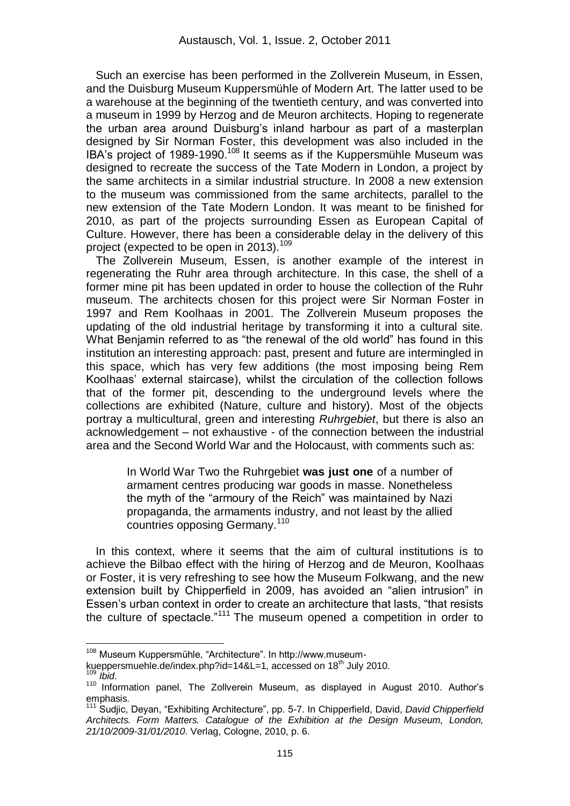Such an exercise has been performed in the Zollverein Museum, in Essen, and the Duisburg Museum Kuppersmühle of Modern Art. The latter used to be a warehouse at the beginning of the twentieth century, and was converted into a museum in 1999 by Herzog and de Meuron architects. Hoping to regenerate the urban area around Duisburg"s inland harbour as part of a masterplan designed by Sir Norman Foster, this development was also included in the IBA's project of 1989-1990.<sup>108</sup> It seems as if the Kuppersmühle Museum was designed to recreate the success of the Tate Modern in London, a project by the same architects in a similar industrial structure. In 2008 a new extension to the museum was commissioned from the same architects, parallel to the new extension of the Tate Modern London. It was meant to be finished for 2010, as part of the projects surrounding Essen as European Capital of Culture. However, there has been a considerable delay in the delivery of this project (expected to be open in 2013).<sup>109</sup>

 The Zollverein Museum, Essen, is another example of the interest in regenerating the Ruhr area through architecture. In this case, the shell of a former mine pit has been updated in order to house the collection of the Ruhr museum. The architects chosen for this project were Sir Norman Foster in 1997 and Rem Koolhaas in 2001. The Zollverein Museum proposes the updating of the old industrial heritage by transforming it into a cultural site. What Benjamin referred to as "the renewal of the old world" has found in this institution an interesting approach: past, present and future are intermingled in this space, which has very few additions (the most imposing being Rem Koolhaas" external staircase), whilst the circulation of the collection follows that of the former pit, descending to the underground levels where the collections are exhibited (Nature, culture and history). Most of the objects portray a multicultural, green and interesting *Ruhrgebiet*, but there is also an acknowledgement – not exhaustive - of the connection between the industrial area and the Second World War and the Holocaust, with comments such as:

> In World War Two the Ruhrgebiet **was just one** of a number of armament centres producing war goods in masse. Nonetheless the myth of the "armoury of the Reich" was maintained by Nazi propaganda, the armaments industry, and not least by the allied countries opposing Germany.<sup>110</sup>

 In this context, where it seems that the aim of cultural institutions is to achieve the Bilbao effect with the hiring of Herzog and de Meuron, Koolhaas or Foster, it is very refreshing to see how the Museum Folkwang, and the new extension built by Chipperfield in 2009, has avoided an "alien intrusion" in Essen"s urban context in order to create an architecture that lasts, "that resists the culture of spectacle."<sup>111</sup> The museum opened a competition in order to

<u>.</u>

<sup>108</sup> Museum Kuppersmühle, "Architecture". In http://www.museum-

kueppersmuehle.de/index.php?id=14&L=1, accessed on 18<sup>th</sup> July 2010. <sup>109</sup> *Ibid*.

<sup>110</sup> Information panel, The Zollverein Museum, as displayed in August 2010. Author"s emphasis.

<sup>111</sup> Sudjic, Deyan, "Exhibiting Architecture", pp. 5-7. In Chipperfield, David, *David Chipperfield Architects. Form Matters. Catalogue of the Exhibition at the Design Museum, London, 21/10/2009-31/01/2010*. Verlag, Cologne, 2010, p. 6.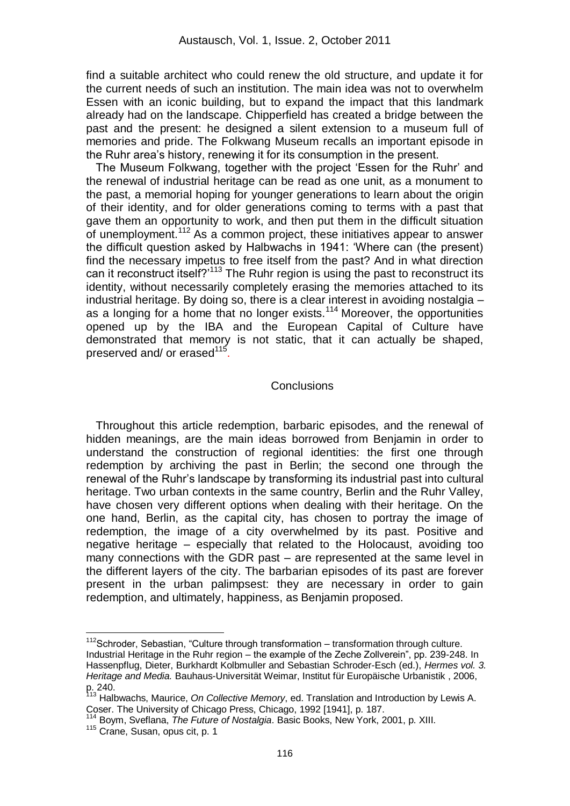find a suitable architect who could renew the old structure, and update it for the current needs of such an institution. The main idea was not to overwhelm Essen with an iconic building, but to expand the impact that this landmark already had on the landscape. Chipperfield has created a bridge between the past and the present: he designed a silent extension to a museum full of memories and pride. The Folkwang Museum recalls an important episode in the Ruhr area"s history, renewing it for its consumption in the present.

 The Museum Folkwang, together with the project "Essen for the Ruhr" and the renewal of industrial heritage can be read as one unit, as a monument to the past, a memorial hoping for younger generations to learn about the origin of their identity, and for older generations coming to terms with a past that gave them an opportunity to work, and then put them in the difficult situation of unemployment.<sup>112</sup> As a common project, these initiatives appear to answer the difficult question asked by Halbwachs in 1941: "Where can (the present) find the necessary impetus to free itself from the past? And in what direction can it reconstruct itself?'<sup>113</sup> The Ruhr region is using the past to reconstruct its identity, without necessarily completely erasing the memories attached to its industrial heritage. By doing so, there is a clear interest in avoiding nostalgia – as a longing for a home that no longer exists.<sup>114</sup> Moreover, the opportunities opened up by the IBA and the European Capital of Culture have demonstrated that memory is not static, that it can actually be shaped, preserved and/ or erased<sup>115</sup>.

#### **Conclusions**

 Throughout this article redemption, barbaric episodes, and the renewal of hidden meanings, are the main ideas borrowed from Benjamin in order to understand the construction of regional identities: the first one through redemption by archiving the past in Berlin; the second one through the renewal of the Ruhr"s landscape by transforming its industrial past into cultural heritage. Two urban contexts in the same country, Berlin and the Ruhr Valley, have chosen very different options when dealing with their heritage. On the one hand, Berlin, as the capital city, has chosen to portray the image of redemption, the image of a city overwhelmed by its past. Positive and negative heritage – especially that related to the Holocaust, avoiding too many connections with the GDR past – are represented at the same level in the different layers of the city. The barbarian episodes of its past are forever present in the urban palimpsest: they are necessary in order to gain redemption, and ultimately, happiness, as Benjamin proposed.

<u>.</u>

 $112$ Schroder, Sebastian, "Culture through transformation – transformation through culture. Industrial Heritage in the Ruhr region – the example of the Zeche Zollverein", pp. 239-248. In Hassenpflug, Dieter, Burkhardt Kolbmuller and Sebastian Schroder-Esch (ed.), *Hermes vol. 3. Heritage and Media.* Bauhaus-Universität Weimar, Institut für Europäische Urbanistik , 2006, p. 240.

<sup>&</sup>lt;sup>113</sup> Halbwachs, Maurice, *On Collective Memory*, ed. Translation and Introduction by Lewis A. Coser. The University of Chicago Press, Chicago, 1992 [1941], p. 187.

<sup>114</sup> Boym, Sveflana, *The Future of Nostalgia*. Basic Books, New York, 2001, p. XIII.

<sup>115</sup> Crane, Susan, opus cit, p. 1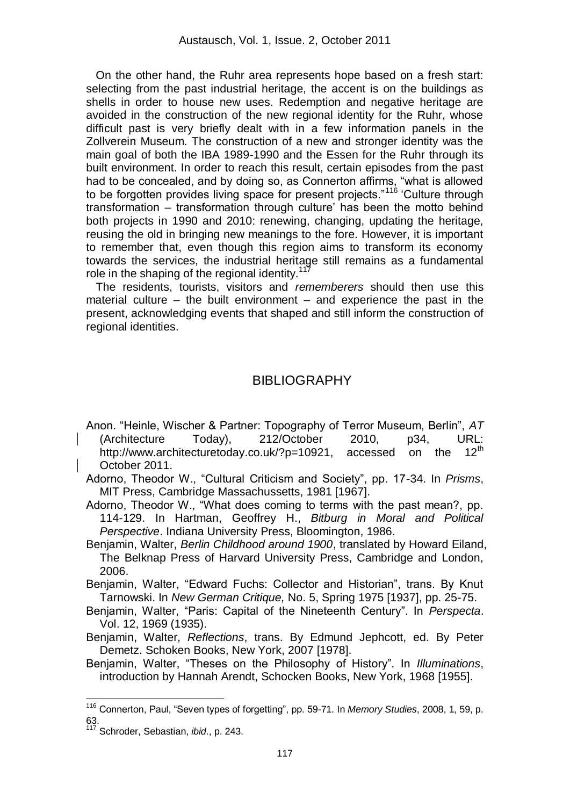On the other hand, the Ruhr area represents hope based on a fresh start: selecting from the past industrial heritage, the accent is on the buildings as shells in order to house new uses. Redemption and negative heritage are avoided in the construction of the new regional identity for the Ruhr, whose difficult past is very briefly dealt with in a few information panels in the Zollverein Museum. The construction of a new and stronger identity was the main goal of both the IBA 1989-1990 and the Essen for the Ruhr through its built environment. In order to reach this result, certain episodes from the past had to be concealed, and by doing so, as Connerton affirms, "what is allowed to be forgotten provides living space for present projects."<sup>116</sup> 'Culture through transformation – transformation through culture" has been the motto behind both projects in 1990 and 2010: renewing, changing, updating the heritage, reusing the old in bringing new meanings to the fore. However, it is important to remember that, even though this region aims to transform its economy towards the services, the industrial heritage still remains as a fundamental role in the shaping of the regional identity.<sup>117</sup>

 The residents, tourists, visitors and *rememberers* should then use this material culture – the built environment – and experience the past in the present, acknowledging events that shaped and still inform the construction of regional identities.

# **BIBLIOGRAPHY**

Anon. "Heinle, Wischer & Partner: Topography of Terror Museum, Berlin", *AT* (Architecture Today), 212/October 2010, p34, URL: http://www.architecturetoday.co.uk/?p=10921, accessed on the 12<sup>th</sup> October 2011.

Adorno, Theodor W., "Cultural Criticism and Society", pp. 17-34. In *Prisms*, MIT Press, Cambridge Massachussetts, 1981 [1967].

Adorno, Theodor W., "What does coming to terms with the past mean?, pp. 114-129. In Hartman, Geoffrey H., *Bitburg in Moral and Political Perspective*. Indiana University Press, Bloomington, 1986.

Benjamin, Walter, *Berlin Childhood around 1900*, translated by Howard Eiland, The Belknap Press of Harvard University Press, Cambridge and London, 2006.

Benjamin, Walter, "Edward Fuchs: Collector and Historian", trans. By Knut Tarnowski. In *New German Critique,* No. 5, Spring 1975 [1937], pp. 25-75.

Benjamin, Walter, "Paris: Capital of the Nineteenth Century". In *Perspecta*. Vol. 12, 1969 (1935).

Benjamin, Walter, *Reflections*, trans. By Edmund Jephcott, ed. By Peter Demetz. Schoken Books, New York, 2007 [1978].

Benjamin, Walter, "Theses on the Philosophy of History". In *Illuminations*, introduction by Hannah Arendt, Schocken Books, New York, 1968 [1955].

<sup>116</sup> Connerton, Paul, "Seven types of forgetting", pp. 59-71. In *Memory Studies*, 2008, 1, 59, p. 63.

<sup>117</sup> Schroder, Sebastian, *ibid*., p. 243.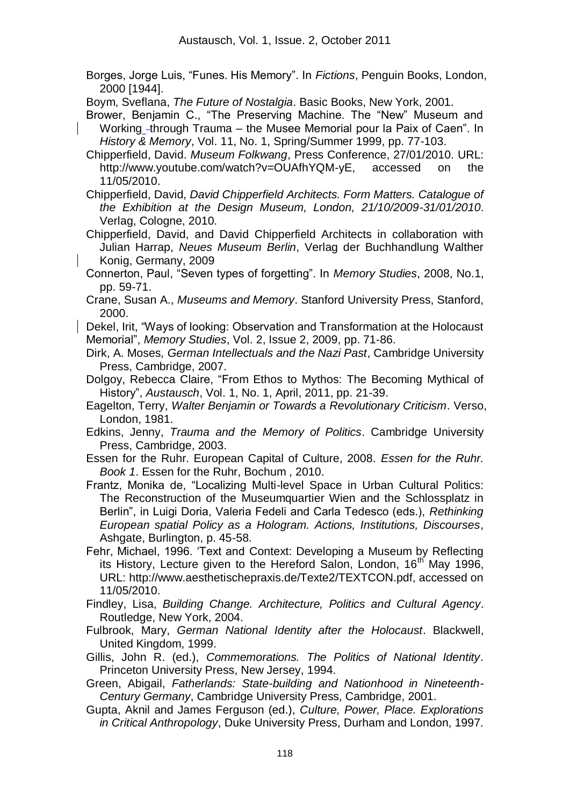Borges, Jorge Luis, "Funes. His Memory". In *Fictions*, Penguin Books, London, 2000 [1944].

Boym, Sveflana, *The Future of Nostalgia*. Basic Books, New York, 2001.

- Brower, Benjamin C., "The Preserving Machine. The "New" Museum and Working -through Trauma – the Musee Memorial pour la Paix of Caen". In *History & Memory*, Vol. 11, No. 1, Spring/Summer 1999, pp. 77-103.
- Chipperfield, David. *Museum Folkwang*, Press Conference, 27/01/2010. URL: http://www.youtube.com/watch?v=OUAfhYQM-yE, accessed on the 11/05/2010.
- Chipperfield, David, *David Chipperfield Architects. Form Matters. Catalogue of the Exhibition at the Design Museum, London, 21/10/2009-31/01/2010*. Verlag, Cologne, 2010.

Chipperfield, David, and David Chipperfield Architects in collaboration with Julian Harrap, *Neues Museum Berlin*, Verlag der Buchhandlung Walther Konig, Germany, 2009

- Connerton, Paul, "Seven types of forgetting". In *Memory Studies*, 2008, No.1, pp. 59-71.
- Crane, Susan A., *Museums and Memory*. Stanford University Press, Stanford, 2000.

Dekel, Irit, "Ways of looking: Observation and Transformation at the Holocaust Memorial", *Memory Studies*, Vol. 2, Issue 2, 2009, pp. 71-86.

- Dirk, A. Moses*, German Intellectuals and the Nazi Past*, Cambridge University Press, Cambridge, 2007.
- Dolgoy, Rebecca Claire, "From Ethos to Mythos: The Becoming Mythical of History", *Austausch*, Vol. 1, No. 1, April, 2011, pp. 21-39.
- Eagelton, Terry, *Walter Benjamin or Towards a Revolutionary Criticism*. Verso, London, 1981.
- Edkins, Jenny, *Trauma and the Memory of Politics*. Cambridge University Press, Cambridge, 2003.
- Essen for the Ruhr. European Capital of Culture, 2008. *Essen for the Ruhr. Book 1*. Essen for the Ruhr, Bochum , 2010.
- Frantz, Monika de, "Localizing Multi-level Space in Urban Cultural Politics: The Reconstruction of the Museumquartier Wien and the Schlossplatz in Berlin", in Luigi Doria, Valeria Fedeli and Carla Tedesco (eds.), *Rethinking European spatial Policy as a Hologram. Actions, Institutions, Discourses*, Ashgate, Burlington, p. 45-58.
- Fehr, Michael, 1996. "Text and Context: Developing a Museum by Reflecting its History, Lecture given to the Hereford Salon, London, 16<sup>th</sup> May 1996, URL: http://www.aesthetischepraxis.de/Texte2/TEXTCON.pdf, accessed on 11/05/2010.
- Findley, Lisa, *Building Change. Architecture, Politics and Cultural Agency*. Routledge, New York, 2004.
- Fulbrook, Mary, *German National Identity after the Holocaust*. Blackwell, United Kingdom, 1999.
- Gillis, John R. (ed.), *Commemorations. The Politics of National Identity*. Princeton University Press, New Jersey, 1994.
- Green, Abigail, *Fatherlands: State-building and Nationhood in Nineteenth-Century Germany*, Cambridge University Press, Cambridge, 2001.
- Gupta, Aknil and James Ferguson (ed.), *Culture, Power, Place. Explorations in Critical Anthropology*, Duke University Press, Durham and London, 1997.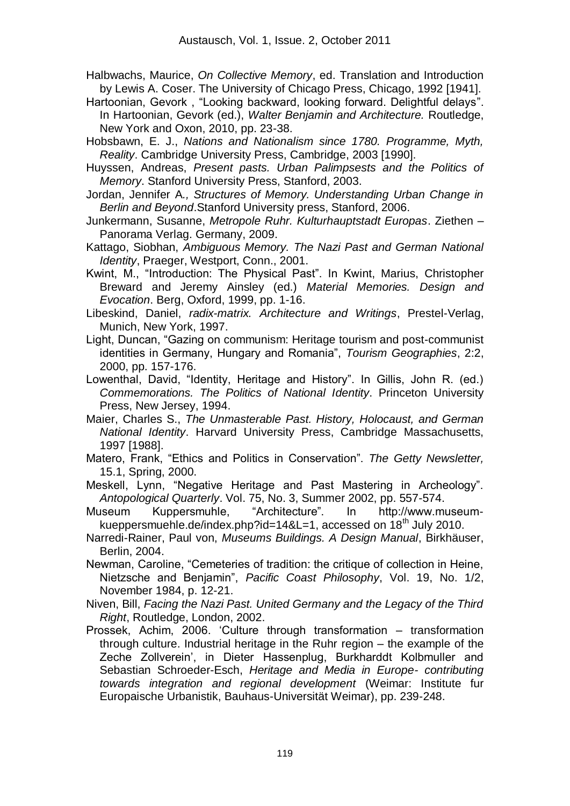- Halbwachs, Maurice, *On Collective Memory*, ed. Translation and Introduction by Lewis A. Coser. The University of Chicago Press, Chicago, 1992 [1941].
- Hartoonian, Gevork , "Looking backward, looking forward. Delightful delays". In Hartoonian, Gevork (ed.), *Walter Benjamin and Architecture.* Routledge, New York and Oxon, 2010, pp. 23-38.
- Hobsbawn, E. J., *Nations and Nationalism since 1780. Programme, Myth, Reality*. Cambridge University Press, Cambridge, 2003 [1990].
- Huyssen, Andreas, *Present pasts. Urban Palimpsests and the Politics of Memory*. Stanford University Press, Stanford, 2003.
- Jordan, Jennifer A*., Structures of Memory. Understanding Urban Change in Berlin and Beyond*.Stanford University press, Stanford, 2006.
- Junkermann, Susanne, *Metropole Ruhr. Kulturhauptstadt Europas*. Ziethen Panorama Verlag. Germany, 2009.
- Kattago, Siobhan, *Ambiguous Memory. The Nazi Past and German National Identity*, Praeger, Westport, Conn., 2001.
- Kwint, M., "Introduction: The Physical Past". In Kwint, Marius, Christopher Breward and Jeremy Ainsley (ed.) *Material Memories. Design and Evocation*. Berg, Oxford, 1999, pp. 1-16.
- Libeskind, Daniel, *radix-matrix. Architecture and Writings*, Prestel-Verlag, Munich, New York, 1997.
- Light, Duncan, "Gazing on communism: Heritage tourism and post-communist identities in Germany, Hungary and Romania", *Tourism Geographies*, 2:2, 2000, pp. 157-176.
- Lowenthal, David, "Identity, Heritage and History". In Gillis, John R. (ed.) *Commemorations. The Politics of National Identity*. Princeton University Press, New Jersey, 1994.
- Maier, Charles S., *The Unmasterable Past. History, Holocaust, and German National Identity*. Harvard University Press, Cambridge Massachusetts, 1997 [1988].
- Matero, Frank, "Ethics and Politics in Conservation". *The Getty Newsletter,* 15.1, Spring, 2000.
- Meskell, Lynn, "Negative Heritage and Past Mastering in Archeology". *Antopological Quarterly*. Vol. 75, No. 3, Summer 2002, pp. 557-574.
- Museum Kuppersmuhle, "Architecture". In http://www.museumkueppersmuehle.de/index.php?id=14&L=1, accessed on  $18<sup>th</sup>$  July 2010.
- Narredi-Rainer, Paul von, *Museums Buildings. A Design Manual*, Birkhäuser, Berlin, 2004.
- Newman, Caroline, "Cemeteries of tradition: the critique of collection in Heine, Nietzsche and Benjamin", *Pacific Coast Philosophy*, Vol. 19, No. 1/2, November 1984, p. 12-21.
- Niven, Bill, *Facing the Nazi Past. United Germany and the Legacy of the Third Right*, Routledge, London, 2002.
- Prossek, Achim, 2006. "Culture through transformation transformation through culture. Industrial heritage in the Ruhr region – the example of the Zeche Zollverein", in Dieter Hassenplug, Burkharddt Kolbmuller and Sebastian Schroeder-Esch, *Heritage and Media in Europe- contributing towards integration and regional development* (Weimar: Institute fur Europaische Urbanistik, Bauhaus-Universität Weimar), pp. 239-248.